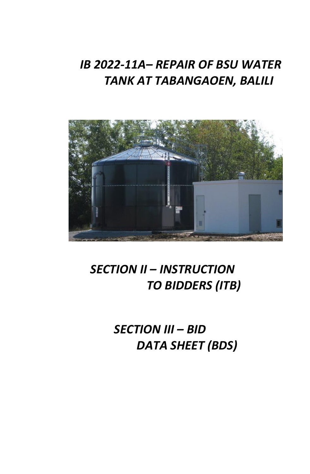## *IB 2022-11A– REPAIR OF BSU WATER TANK AT TABANGAOEN, BALILI*



## *SECTION II – INSTRUCTION TO BIDDERS (ITB)*

*SECTION III – BID DATA SHEET (BDS)*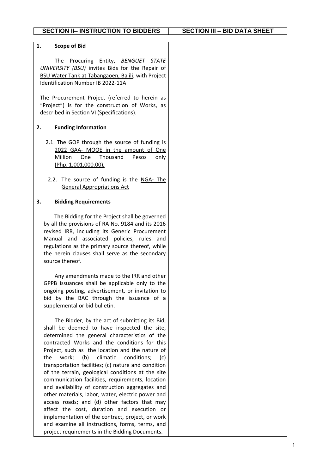| 1.<br><b>Scope of Bid</b>                                                                                                                                                                                                                                                                                                                                                                                                                                                                                                                                                                                                                                                                                                                                                                                                             |  |
|---------------------------------------------------------------------------------------------------------------------------------------------------------------------------------------------------------------------------------------------------------------------------------------------------------------------------------------------------------------------------------------------------------------------------------------------------------------------------------------------------------------------------------------------------------------------------------------------------------------------------------------------------------------------------------------------------------------------------------------------------------------------------------------------------------------------------------------|--|
| The Procuring Entity, BENGUET STATE<br>UNIVERSITY (BSU) invites Bids for the Repair of<br>BSU Water Tank at Tabangaoen, Balili, with Project<br>Identification Number IB 2022-11A                                                                                                                                                                                                                                                                                                                                                                                                                                                                                                                                                                                                                                                     |  |
| The Procurement Project (referred to herein as<br>"Project") is for the construction of Works, as<br>described in Section VI (Specifications).                                                                                                                                                                                                                                                                                                                                                                                                                                                                                                                                                                                                                                                                                        |  |
| <b>Funding Information</b><br>2.                                                                                                                                                                                                                                                                                                                                                                                                                                                                                                                                                                                                                                                                                                                                                                                                      |  |
| 2.1. The GOP through the source of funding is<br>2022 GAA- MOOE in the amount of One<br>Million<br>Thousand<br>One<br><b>Pesos</b><br>only<br>(Php. 1,001,000.00).                                                                                                                                                                                                                                                                                                                                                                                                                                                                                                                                                                                                                                                                    |  |
| 2.2. The source of funding is the NGA- The<br><b>General Appropriations Act</b>                                                                                                                                                                                                                                                                                                                                                                                                                                                                                                                                                                                                                                                                                                                                                       |  |
| 3.<br><b>Bidding Requirements</b>                                                                                                                                                                                                                                                                                                                                                                                                                                                                                                                                                                                                                                                                                                                                                                                                     |  |
| The Bidding for the Project shall be governed<br>by all the provisions of RA No. 9184 and its 2016<br>revised IRR, including its Generic Procurement<br>Manual and associated policies, rules and<br>regulations as the primary source thereof, while<br>the herein clauses shall serve as the secondary<br>source thereof.                                                                                                                                                                                                                                                                                                                                                                                                                                                                                                           |  |
| Any amendments made to the IRR and other<br>GPPB issuances shall be applicable only to the<br>ongoing posting, advertisement, or invitation to<br>bid by the BAC through the issuance of a<br>supplemental or bid bulletin.                                                                                                                                                                                                                                                                                                                                                                                                                                                                                                                                                                                                           |  |
| The Bidder, by the act of submitting its Bid,<br>shall be deemed to have inspected the site,<br>determined the general characteristics of the<br>contracted Works and the conditions for this<br>Project, such as the location and the nature of<br>work; (b)<br>climatic<br>conditions;<br>the<br>(c)<br>transportation facilities; (c) nature and condition<br>of the terrain, geological conditions at the site<br>communication facilities, requirements, location<br>and availability of construction aggregates and<br>other materials, labor, water, electric power and<br>access roads; and (d) other factors that may<br>affect the cost, duration and execution or<br>implementation of the contract, project, or work<br>and examine all instructions, forms, terms, and<br>project requirements in the Bidding Documents. |  |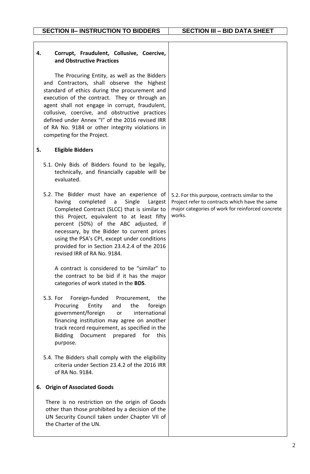| Corrupt, Fraudulent, Collusive, Coercive,<br>4.<br>and Obstructive Practices                                                                                                                                                                                                                                                                                                                                                                                     |                                                                                                                                                                 |
|------------------------------------------------------------------------------------------------------------------------------------------------------------------------------------------------------------------------------------------------------------------------------------------------------------------------------------------------------------------------------------------------------------------------------------------------------------------|-----------------------------------------------------------------------------------------------------------------------------------------------------------------|
| The Procuring Entity, as well as the Bidders<br>and Contractors, shall observe the highest<br>standard of ethics during the procurement and<br>execution of the contract. They or through an<br>agent shall not engage in corrupt, fraudulent,<br>collusive, coercive, and obstructive practices<br>defined under Annex "I" of the 2016 revised IRR<br>of RA No. 9184 or other integrity violations in<br>competing for the Project.                             |                                                                                                                                                                 |
| <b>Eligible Bidders</b><br>5.                                                                                                                                                                                                                                                                                                                                                                                                                                    |                                                                                                                                                                 |
| 5.1. Only Bids of Bidders found to be legally,<br>technically, and financially capable will be<br>evaluated.                                                                                                                                                                                                                                                                                                                                                     |                                                                                                                                                                 |
| 5.2. The Bidder must have an experience of<br>completed<br>Single<br>having<br>Largest<br>a a<br>Completed Contract (SLCC) that is similar to<br>this Project, equivalent to at least fifty<br>percent (50%) of the ABC adjusted, if<br>necessary, by the Bidder to current prices<br>using the PSA's CPI, except under conditions<br>provided for in Section 23.4.2.4 of the 2016<br>revised IRR of RA No. 9184.<br>A contract is considered to be "similar" to | 5.2. For this purpose, contracts similar to the<br>Project refer to contracts which have the same<br>major categories of work for reinforced concrete<br>works. |
| the contract to be bid if it has the major<br>categories of work stated in the BDS.                                                                                                                                                                                                                                                                                                                                                                              |                                                                                                                                                                 |
| Foreign-funded<br>Procurement,<br>5.3. For<br>the<br>Procuring<br>the<br>Entity<br>and<br>foreign<br>government/foreign<br>international<br>or<br>financing institution may agree on another<br>track record requirement, as specified in the<br><b>Bidding</b><br>Document prepared<br>for<br>this<br>purpose.                                                                                                                                                  |                                                                                                                                                                 |
| 5.4. The Bidders shall comply with the eligibility<br>criteria under Section 23.4.2 of the 2016 IRR<br>of RA No. 9184.                                                                                                                                                                                                                                                                                                                                           |                                                                                                                                                                 |
| 6. Origin of Associated Goods                                                                                                                                                                                                                                                                                                                                                                                                                                    |                                                                                                                                                                 |
| There is no restriction on the origin of Goods<br>other than those prohibited by a decision of the<br>UN Security Council taken under Chapter VII of<br>the Charter of the UN.                                                                                                                                                                                                                                                                                   |                                                                                                                                                                 |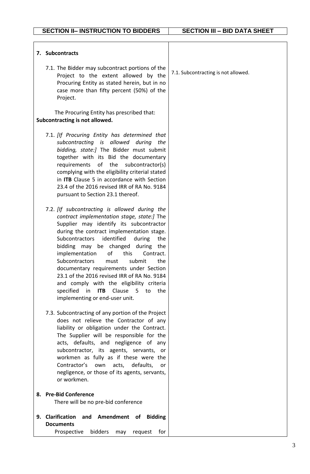| 7. Subcontracts                                                                                                                                                                                                                                                                                                                                                                                                                                                                                                    |                                                           |                                     |
|--------------------------------------------------------------------------------------------------------------------------------------------------------------------------------------------------------------------------------------------------------------------------------------------------------------------------------------------------------------------------------------------------------------------------------------------------------------------------------------------------------------------|-----------------------------------------------------------|-------------------------------------|
| 7.1. The Bidder may subcontract portions of the<br>Project to the extent allowed by the<br>Procuring Entity as stated herein, but in no<br>case more than fifty percent (50%) of the<br>Project.                                                                                                                                                                                                                                                                                                                   |                                                           | 7.1. Subcontracting is not allowed. |
| The Procuring Entity has prescribed that:<br>Subcontracting is not allowed.                                                                                                                                                                                                                                                                                                                                                                                                                                        |                                                           |                                     |
| 7.1. [If Procuring Entity has determined that<br>subcontracting is allowed during<br>bidding, state:] The Bidder must submit<br>together with its Bid the documentary<br>of the subcontractor(s)<br>requirements<br>complying with the eligibility criterial stated<br>in ITB Clause 5 in accordance with Section<br>23.4 of the 2016 revised IRR of RA No. 9184<br>pursuant to Section 23.1 thereof.                                                                                                              | the                                                       |                                     |
| 7.2. [If subcontracting is allowed during the<br>contract implementation stage, state:] The<br>Supplier may identify its subcontractor<br>during the contract implementation stage.<br>identified<br>Subcontractors<br>bidding may be changed<br>of<br>implementation<br>this<br>Subcontractors<br>must<br>documentary requirements under Section<br>23.1 of the 2016 revised IRR of RA No. 9184<br>and comply with the eligibility criteria<br>specified in ITB Clause 5 to the<br>implementing or end-user unit. | during<br>the<br>during the<br>Contract.<br>submit<br>the |                                     |
| 7.3. Subcontracting of any portion of the Project<br>does not relieve the Contractor of any<br>liability or obligation under the Contract.<br>The Supplier will be responsible for the<br>acts, defaults, and negligence of any<br>subcontractor, its agents, servants, or<br>workmen as fully as if these were the<br>Contractor's<br>own<br>acts,<br>negligence, or those of its agents, servants,<br>or workmen.                                                                                                | defaults,<br>or                                           |                                     |
| <b>Pre-Bid Conference</b><br>8.<br>There will be no pre-bid conference                                                                                                                                                                                                                                                                                                                                                                                                                                             |                                                           |                                     |
|                                                                                                                                                                                                                                                                                                                                                                                                                                                                                                                    |                                                           |                                     |
| <b>Clarification</b><br>and Amendment of<br>9.<br><b>Documents</b>                                                                                                                                                                                                                                                                                                                                                                                                                                                 |                                                           |                                     |
| bidders<br>Prospective<br>may                                                                                                                                                                                                                                                                                                                                                                                                                                                                                      | request<br>for                                            |                                     |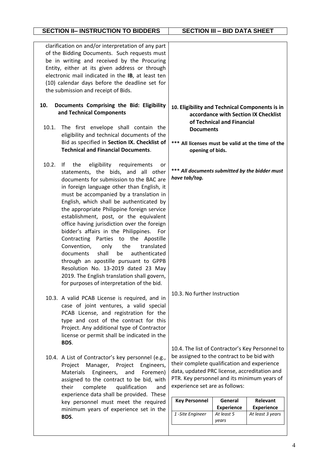|                                                                                                                                                                                                                                                                                                                                                   | <b>SECTION II- INSTRUCTION TO BIDDERS</b>                                                                                                                                                                                                                                                                                                                                                                                                                                                                                                                                                                                                                                                                                                                         | <b>SECTION III - BID DATA SHEET</b>                                                                                                                                                                                                                                   |                                                     |                                                   |
|---------------------------------------------------------------------------------------------------------------------------------------------------------------------------------------------------------------------------------------------------------------------------------------------------------------------------------------------------|-------------------------------------------------------------------------------------------------------------------------------------------------------------------------------------------------------------------------------------------------------------------------------------------------------------------------------------------------------------------------------------------------------------------------------------------------------------------------------------------------------------------------------------------------------------------------------------------------------------------------------------------------------------------------------------------------------------------------------------------------------------------|-----------------------------------------------------------------------------------------------------------------------------------------------------------------------------------------------------------------------------------------------------------------------|-----------------------------------------------------|---------------------------------------------------|
| clarification on and/or interpretation of any part<br>of the Bidding Documents. Such requests must<br>be in writing and received by the Procuring<br>Entity, either at its given address or through<br>electronic mail indicated in the IB, at least ten<br>(10) calendar days before the deadline set for<br>the submission and receipt of Bids. |                                                                                                                                                                                                                                                                                                                                                                                                                                                                                                                                                                                                                                                                                                                                                                   |                                                                                                                                                                                                                                                                       |                                                     |                                                   |
| 10.<br>10.1.                                                                                                                                                                                                                                                                                                                                      | Documents Comprising the Bid: Eligibility<br>and Technical Components<br>The first envelope shall contain the<br>eligibility and technical documents of the                                                                                                                                                                                                                                                                                                                                                                                                                                                                                                                                                                                                       | 10. Eligibility and Technical Components is in<br><b>Documents</b>                                                                                                                                                                                                    | of Technical and Financial                          | accordance with Section IX Checklist              |
|                                                                                                                                                                                                                                                                                                                                                   | Bid as specified in Section IX. Checklist of<br><b>Technical and Financial Documents.</b>                                                                                                                                                                                                                                                                                                                                                                                                                                                                                                                                                                                                                                                                         | opening of bids.                                                                                                                                                                                                                                                      |                                                     | All licenses must be valid at the time of the     |
| 10.2.                                                                                                                                                                                                                                                                                                                                             | the<br>eligibility<br>requirements<br>If.<br>or<br>statements, the bids, and all other<br>documents for submission to the BAC are<br>in foreign language other than English, it<br>must be accompanied by a translation in<br>English, which shall be authenticated by<br>the appropriate Philippine foreign service<br>establishment, post, or the equivalent<br>office having jurisdiction over the foreign<br>bidder's affairs in the Philippines.<br>For<br>Contracting Parties to the Apostille<br>the<br>Convention,<br>translated<br>only<br>documents shall be authenticated<br>through an apostille pursuant to GPPB<br>Resolution No. 13-2019 dated 23 May<br>2019. The English translation shall govern,<br>for purposes of interpretation of the bid. | *** All documents submitted by the bidder must<br>have tab/tag.                                                                                                                                                                                                       |                                                     |                                                   |
|                                                                                                                                                                                                                                                                                                                                                   | 10.3. A valid PCAB License is required, and in<br>case of joint ventures, a valid special<br>PCAB License, and registration for the<br>type and cost of the contract for this<br>Project. Any additional type of Contractor<br>license or permit shall be indicated in the<br>BDS.                                                                                                                                                                                                                                                                                                                                                                                                                                                                                | 10.3. No further Instruction<br>10.4. The list of Contractor's Key Personnel to                                                                                                                                                                                       |                                                     |                                                   |
|                                                                                                                                                                                                                                                                                                                                                   | 10.4. A List of Contractor's key personnel (e.g.,<br>Project<br>Project<br>Manager,<br>Engineers,<br>Materials<br>Engineers,<br>and<br>Foremen)<br>assigned to the contract to be bid, with<br>their<br>complete<br>qualification<br>and<br>experience data shall be provided. These<br>key personnel must meet the required<br>minimum years of experience set in the<br>BDS.                                                                                                                                                                                                                                                                                                                                                                                    | be assigned to the contract to be bid with<br>their complete qualification and experience<br>data, updated PRC license, accreditation and<br>PTR. Key personnel and its minimum years of<br>experience set are as follows:<br><b>Key Personnel</b><br>1-Site Engineer | General<br><b>Experience</b><br>At least 5<br>years | Relevant<br><b>Experience</b><br>At least 3 years |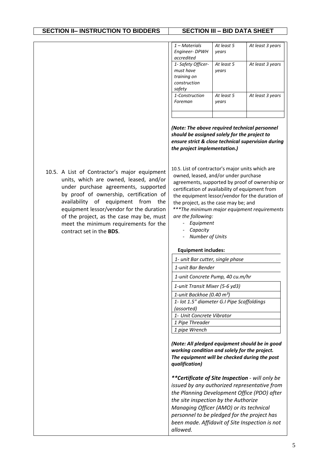| $1 - Materials$<br><b>Engineer- DPWH</b><br>accredited                   | At least 5<br>vears | At least 3 years |
|--------------------------------------------------------------------------|---------------------|------------------|
| 1- Safety Officer-<br>must have<br>training on<br>construction<br>safety | At least 5<br>vears | At least 3 years |
| 1-Construction<br>Foreman                                                | At least 5<br>years | At least 3 years |
|                                                                          |                     |                  |

*(Note: The above required technical personnel should be assigned solely for the project to ensure strict & close technical supervision during the project implementation.)*

10.5. A List of Contractor's major equipment units, which are owned, leased, and/or under purchase agreements, supported by proof of ownership, certification of availability of equipment from the equipment lessor/vendor for the duration of the project, as the case may be, must meet the minimum requirements for the contract set in the **BDS**.

10.5. List of contractor's major units which are owned, leased, and/or under purchase agreements, supported by proof of ownership or certification of availability of equipment from the equipment lessor/vendor for the duration of the project, as the case may be; and *\*\*\*The minimum major equipment requirements are the following:*

- *Equipment*
- *Capacity*
- *Number of Units*

## **Equipment includes:**

*1- unit Bar cutter, single phase*

*1-unit Bar Bender*

*1-unit Concrete Pump, 40 cu.m/hr*

*1-unit Transit Mixer (5-6 yd3)*

*1-unit Backhoe (0.40 m³)*

*1- lot 1.5" diameter G.I Pipe Scaffoldings* 

*(assorted)*

*1- Unit Concrete Vibrator*

*1 Pipe Threader*

*1 pipe Wrench* 

*(Note: All pledged equipment should be in good working condition and solely for the project. The equipment will be checked during the post qualification)* 

*\*\*Certificate of Site Inspection - will only be issued by any authorized representative from the Planning Development Office (PDO) after the site inspection by the Authorize Managing Officer (AMO) or its technical personnel to be pledged for the project has been made. Affidavit of Site Inspection is not allowed.*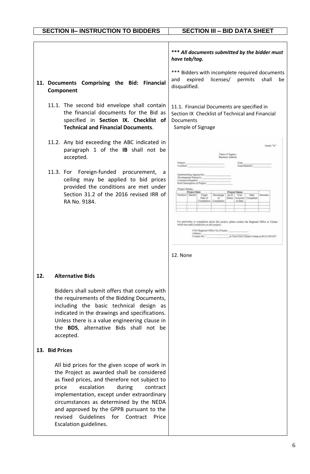|     | 11. Documents Comprising the Bid: Financial<br>Component<br>11.1. The second bid envelope shall contain<br>the financial documents for the Bid as<br>specified in Section IX. Checklist of<br><b>Technical and Financial Documents.</b>                                                                                                                                                                                      | *** All documents submitted by the bidder must<br>have tab/tag.<br>*** Bidders with incomplete required documents<br>licenses/<br>expired<br>permits<br>shall<br>and<br>be<br>disqualified.<br>11.1. Financial Documents are specified in<br>Section IX Checklist of Technical and Financial<br><b>Documents</b><br>Sample of Signage                                                                                                                                                                                                                                                                                                                                                                           |
|-----|------------------------------------------------------------------------------------------------------------------------------------------------------------------------------------------------------------------------------------------------------------------------------------------------------------------------------------------------------------------------------------------------------------------------------|-----------------------------------------------------------------------------------------------------------------------------------------------------------------------------------------------------------------------------------------------------------------------------------------------------------------------------------------------------------------------------------------------------------------------------------------------------------------------------------------------------------------------------------------------------------------------------------------------------------------------------------------------------------------------------------------------------------------|
|     | 11.2. Any bid exceeding the ABC indicated in<br>paragraph 1 of the IB shall not be<br>accepted.<br>11.3. For Foreign-funded procurement, a<br>ceiling may be applied to bid prices<br>provided the conditions are met under<br>Section 31.2 of the 2016 revised IRR of<br>RA No. 9184.                                                                                                                                       | Amex "A"<br>Name of Agency<br>Business Address<br>Cost:<br>Fund Source/c<br>Implementing Agency/lex:<br>Development Partner's:<br>Contractor/Supplier:<br>Brief Description of Project:<br>miect Detailte<br><b>Preject Date</b><br><b>Project Status</b><br>Ouration   Started<br>Remarks<br>Target<br>Poventage<br>As of<br>Cost.<br>Date<br>Date of<br>(Date).<br>Incurred   Completed<br>u<br>Completion   Completio<br>to Date<br>For particulars or complaints about this project, please contact the Regional Office or Cluster<br>which has audit jurisdiction on this project<br>COA Regional Office No./Claster:<br>Address:<br>or Text COA Citizen's Desk at 0915-5391957<br>Contact No.<br>12. None |
| 12. | <b>Alternative Bids</b><br>Bidders shall submit offers that comply with<br>the requirements of the Bidding Documents,<br>including the basic technical design as<br>indicated in the drawings and specifications.<br>Unless there is a value engineering clause in<br>the BDS, alternative Bids shall not be<br>accepted.                                                                                                    |                                                                                                                                                                                                                                                                                                                                                                                                                                                                                                                                                                                                                                                                                                                 |
|     | 13. Bid Prices<br>All bid prices for the given scope of work in<br>the Project as awarded shall be considered<br>as fixed prices, and therefore not subject to<br>escalation<br>price<br>during<br>contract<br>implementation, except under extraordinary<br>circumstances as determined by the NEDA<br>and approved by the GPPB pursuant to the<br>Guidelines for<br>Contract<br>revised<br>Price<br>Escalation guidelines. |                                                                                                                                                                                                                                                                                                                                                                                                                                                                                                                                                                                                                                                                                                                 |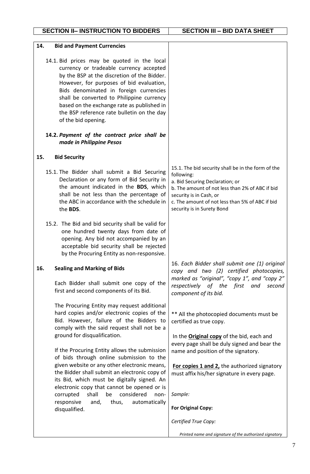| 14.<br><b>Bid and Payment Currencies</b>                                                                                                                                                                                                                                                                                                                                                    |                                                                                                                                                                                                                                                                    |
|---------------------------------------------------------------------------------------------------------------------------------------------------------------------------------------------------------------------------------------------------------------------------------------------------------------------------------------------------------------------------------------------|--------------------------------------------------------------------------------------------------------------------------------------------------------------------------------------------------------------------------------------------------------------------|
| 14.1. Bid prices may be quoted in the local<br>currency or tradeable currency accepted<br>by the BSP at the discretion of the Bidder.<br>However, for purposes of bid evaluation,<br>Bids denominated in foreign currencies<br>shall be converted to Philippine currency<br>based on the exchange rate as published in<br>the BSP reference rate bulletin on the day<br>of the bid opening. |                                                                                                                                                                                                                                                                    |
| 14.2. Payment of the contract price shall be<br>made in Philippine Pesos                                                                                                                                                                                                                                                                                                                    |                                                                                                                                                                                                                                                                    |
| <b>Bid Security</b><br>15.                                                                                                                                                                                                                                                                                                                                                                  |                                                                                                                                                                                                                                                                    |
| 15.1. The Bidder shall submit a Bid Securing<br>Declaration or any form of Bid Security in<br>the amount indicated in the BDS, which<br>shall be not less than the percentage of<br>the ABC in accordance with the schedule in<br>the BDS.                                                                                                                                                  | 15.1. The bid security shall be in the form of the<br>following:<br>a. Bid Securing Declaration; or<br>b. The amount of not less than 2% of ABC if bid<br>security is in Cash, or<br>c. The amount of not less than 5% of ABC if bid<br>security is in Surety Bond |
| 15.2. The Bid and bid security shall be valid for<br>one hundred twenty days from date of<br>opening. Any bid not accompanied by an<br>acceptable bid security shall be rejected<br>by the Procuring Entity as non-responsive.                                                                                                                                                              |                                                                                                                                                                                                                                                                    |
| <b>Sealing and Marking of Bids</b><br>16.                                                                                                                                                                                                                                                                                                                                                   | 16. Each Bidder shall submit one (1) original<br>copy and two (2) certified photocopies,<br>marked as "original", "copy 1", and "copy 2"                                                                                                                           |
| Each Bidder shall submit one copy of the<br>first and second components of its Bid.                                                                                                                                                                                                                                                                                                         | respectively of the first and<br>second<br>component of its bid.                                                                                                                                                                                                   |
| The Procuring Entity may request additional<br>hard copies and/or electronic copies of the<br>Bid. However, failure of the Bidders to<br>comply with the said request shall not be a<br>ground for disqualification.                                                                                                                                                                        | ** All the photocopied documents must be<br>certified as true copy.<br>In the <b>Original copy</b> of the bid, each and                                                                                                                                            |
| If the Procuring Entity allows the submission<br>of bids through online submission to the                                                                                                                                                                                                                                                                                                   | every page shall be duly signed and bear the<br>name and position of the signatory.                                                                                                                                                                                |
| given website or any other electronic means,<br>the Bidder shall submit an electronic copy of<br>its Bid, which must be digitally signed. An<br>electronic copy that cannot be opened or is                                                                                                                                                                                                 | For copies 1 and 2, the authorized signatory<br>must affix his/her signature in every page.                                                                                                                                                                        |
| be<br>corrupted<br>shall<br>considered<br>non-<br>responsive<br>thus,<br>automatically<br>and,                                                                                                                                                                                                                                                                                              | Sample:                                                                                                                                                                                                                                                            |
| disqualified.                                                                                                                                                                                                                                                                                                                                                                               | <b>For Original Copy:</b>                                                                                                                                                                                                                                          |
|                                                                                                                                                                                                                                                                                                                                                                                             | Certified True Copy:                                                                                                                                                                                                                                               |
|                                                                                                                                                                                                                                                                                                                                                                                             | Printed name and signature of the authorized signatory                                                                                                                                                                                                             |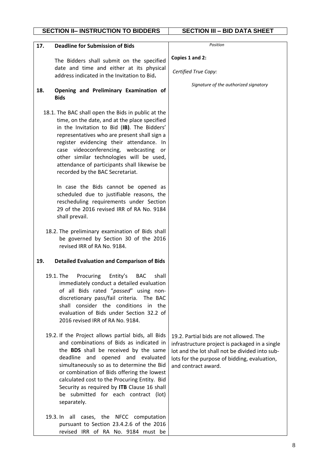|     | <b>SECTION II- INSTRUCTION TO BIDDERS</b>                                                                                                                                                                                                                                                                                                                                                                                            | <b>SECTION III - BID DATA SHEET</b>                                                                                                                                                                                |
|-----|--------------------------------------------------------------------------------------------------------------------------------------------------------------------------------------------------------------------------------------------------------------------------------------------------------------------------------------------------------------------------------------------------------------------------------------|--------------------------------------------------------------------------------------------------------------------------------------------------------------------------------------------------------------------|
| 17. | <b>Deadline for Submission of Bids</b>                                                                                                                                                                                                                                                                                                                                                                                               | Position                                                                                                                                                                                                           |
|     | The Bidders shall submit on the specified                                                                                                                                                                                                                                                                                                                                                                                            | Copies 1 and 2:                                                                                                                                                                                                    |
|     | date and time and either at its physical<br>address indicated in the Invitation to Bid.                                                                                                                                                                                                                                                                                                                                              | Certified True Copy:                                                                                                                                                                                               |
| 18. | Opening and Preliminary Examination of<br><b>Bids</b>                                                                                                                                                                                                                                                                                                                                                                                | Signature of the authorized signatory                                                                                                                                                                              |
|     | 18.1. The BAC shall open the Bids in public at the<br>time, on the date, and at the place specified<br>in the Invitation to Bid (IB). The Bidders'<br>representatives who are present shall sign a<br>register evidencing their attendance. In<br>case videoconferencing, webcasting or<br>other similar technologies will be used,<br>attendance of participants shall likewise be<br>recorded by the BAC Secretariat.              |                                                                                                                                                                                                                    |
|     | In case the Bids cannot be opened as<br>scheduled due to justifiable reasons, the<br>rescheduling requirements under Section<br>29 of the 2016 revised IRR of RA No. 9184<br>shall prevail.                                                                                                                                                                                                                                          |                                                                                                                                                                                                                    |
|     | 18.2. The preliminary examination of Bids shall<br>be governed by Section 30 of the 2016<br>revised IRR of RA No. 9184.                                                                                                                                                                                                                                                                                                              |                                                                                                                                                                                                                    |
| 19. | <b>Detailed Evaluation and Comparison of Bids</b>                                                                                                                                                                                                                                                                                                                                                                                    |                                                                                                                                                                                                                    |
|     | 19.1. The<br>Procuring<br>Entity's<br>shall<br>BAC<br>immediately conduct a detailed evaluation<br>of all Bids rated "passed" using non-<br>discretionary pass/fail criteria. The BAC<br>shall consider the conditions in the<br>evaluation of Bids under Section 32.2 of<br>2016 revised IRR of RA No. 9184.                                                                                                                        |                                                                                                                                                                                                                    |
|     | 19.2. If the Project allows partial bids, all Bids<br>and combinations of Bids as indicated in<br>the <b>BDS</b> shall be received by the same<br>deadline and opened and evaluated<br>simultaneously so as to determine the Bid<br>or combination of Bids offering the lowest<br>calculated cost to the Procuring Entity. Bid<br>Security as required by ITB Clause 16 shall<br>be submitted for each contract (lot)<br>separately. | 19.2. Partial bids are not allowed. The<br>infrastructure project is packaged in a single<br>lot and the lot shall not be divided into sub-<br>lots for the purpose of bidding, evaluation,<br>and contract award. |
|     | 19.3. In all cases, the NFCC computation<br>pursuant to Section 23.4.2.6 of the 2016<br>revised IRR of RA No. 9184 must be                                                                                                                                                                                                                                                                                                           |                                                                                                                                                                                                                    |